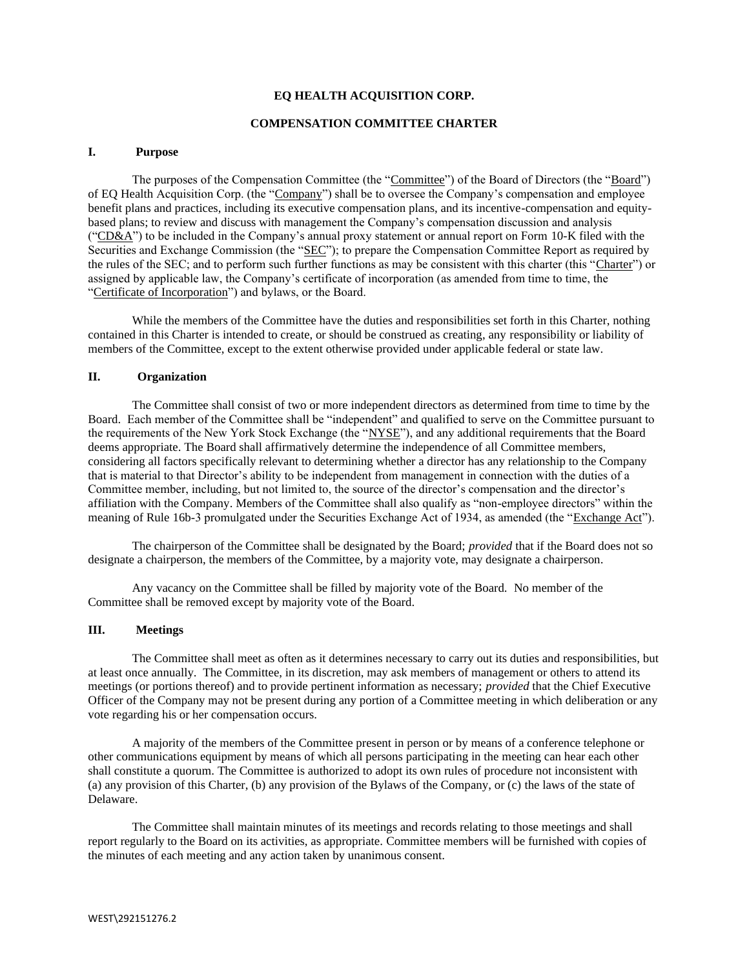#### **EQ HEALTH ACQUISITION CORP.**

### **COMPENSATION COMMITTEE CHARTER**

#### **I. Purpose**

The purposes of the Compensation Committee (the "Committee") of the Board of Directors (the "Board") of EQ Health Acquisition Corp. (the "Company") shall be to oversee the Company's compensation and employee benefit plans and practices, including its executive compensation plans, and its incentive-compensation and equitybased plans; to review and discuss with management the Company's compensation discussion and analysis ("CD&A") to be included in the Company's annual proxy statement or annual report on Form 10-K filed with the Securities and Exchange Commission (the "SEC"); to prepare the Compensation Committee Report as required by the rules of the SEC; and to perform such further functions as may be consistent with this charter (this "Charter") or assigned by applicable law, the Company's certificate of incorporation (as amended from time to time, the "Certificate of Incorporation") and bylaws, or the Board.

While the members of the Committee have the duties and responsibilities set forth in this Charter, nothing contained in this Charter is intended to create, or should be construed as creating, any responsibility or liability of members of the Committee, except to the extent otherwise provided under applicable federal or state law.

## **II. Organization**

The Committee shall consist of two or more independent directors as determined from time to time by the Board. Each member of the Committee shall be "independent" and qualified to serve on the Committee pursuant to the requirements of the New York Stock Exchange (the "NYSE"), and any additional requirements that the Board deems appropriate. The Board shall affirmatively determine the independence of all Committee members, considering all factors specifically relevant to determining whether a director has any relationship to the Company that is material to that Director's ability to be independent from management in connection with the duties of a Committee member, including, but not limited to, the source of the director's compensation and the director's affiliation with the Company. Members of the Committee shall also qualify as "non-employee directors" within the meaning of Rule 16b-3 promulgated under the Securities Exchange Act of 1934, as amended (the "Exchange Act").

The chairperson of the Committee shall be designated by the Board; *provided* that if the Board does not so designate a chairperson, the members of the Committee, by a majority vote, may designate a chairperson.

Any vacancy on the Committee shall be filled by majority vote of the Board. No member of the Committee shall be removed except by majority vote of the Board.

#### **III. Meetings**

The Committee shall meet as often as it determines necessary to carry out its duties and responsibilities, but at least once annually. The Committee, in its discretion, may ask members of management or others to attend its meetings (or portions thereof) and to provide pertinent information as necessary; *provided* that the Chief Executive Officer of the Company may not be present during any portion of a Committee meeting in which deliberation or any vote regarding his or her compensation occurs.

A majority of the members of the Committee present in person or by means of a conference telephone or other communications equipment by means of which all persons participating in the meeting can hear each other shall constitute a quorum. The Committee is authorized to adopt its own rules of procedure not inconsistent with (a) any provision of this Charter, (b) any provision of the Bylaws of the Company, or (c) the laws of the state of Delaware.

The Committee shall maintain minutes of its meetings and records relating to those meetings and shall report regularly to the Board on its activities, as appropriate. Committee members will be furnished with copies of the minutes of each meeting and any action taken by unanimous consent.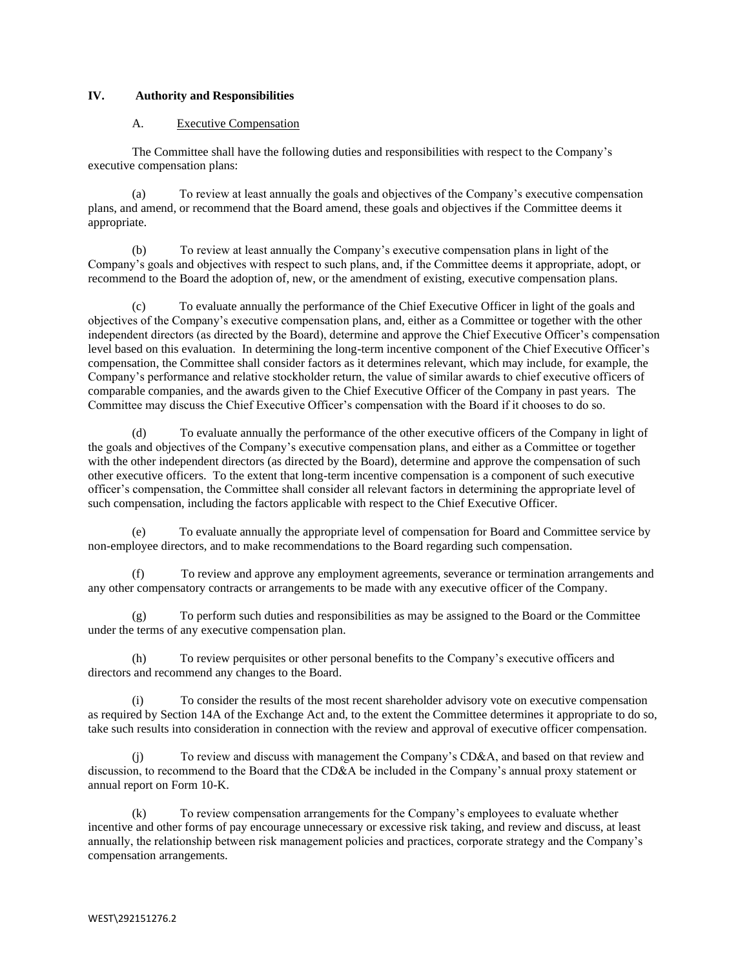# **IV. Authority and Responsibilities**

## A. Executive Compensation

The Committee shall have the following duties and responsibilities with respect to the Company's executive compensation plans:

(a) To review at least annually the goals and objectives of the Company's executive compensation plans, and amend, or recommend that the Board amend, these goals and objectives if the Committee deems it appropriate.

(b) To review at least annually the Company's executive compensation plans in light of the Company's goals and objectives with respect to such plans, and, if the Committee deems it appropriate, adopt, or recommend to the Board the adoption of, new, or the amendment of existing, executive compensation plans.

To evaluate annually the performance of the Chief Executive Officer in light of the goals and objectives of the Company's executive compensation plans, and, either as a Committee or together with the other independent directors (as directed by the Board), determine and approve the Chief Executive Officer's compensation level based on this evaluation. In determining the long-term incentive component of the Chief Executive Officer's compensation, the Committee shall consider factors as it determines relevant, which may include, for example, the Company's performance and relative stockholder return, the value of similar awards to chief executive officers of comparable companies, and the awards given to the Chief Executive Officer of the Company in past years. The Committee may discuss the Chief Executive Officer's compensation with the Board if it chooses to do so.

(d) To evaluate annually the performance of the other executive officers of the Company in light of the goals and objectives of the Company's executive compensation plans, and either as a Committee or together with the other independent directors (as directed by the Board), determine and approve the compensation of such other executive officers. To the extent that long-term incentive compensation is a component of such executive officer's compensation, the Committee shall consider all relevant factors in determining the appropriate level of such compensation, including the factors applicable with respect to the Chief Executive Officer.

(e) To evaluate annually the appropriate level of compensation for Board and Committee service by non-employee directors, and to make recommendations to the Board regarding such compensation.

(f) To review and approve any employment agreements, severance or termination arrangements and any other compensatory contracts or arrangements to be made with any executive officer of the Company.

To perform such duties and responsibilities as may be assigned to the Board or the Committee under the terms of any executive compensation plan.

(h) To review perquisites or other personal benefits to the Company's executive officers and directors and recommend any changes to the Board.

(i) To consider the results of the most recent shareholder advisory vote on executive compensation as required by Section 14A of the Exchange Act and, to the extent the Committee determines it appropriate to do so, take such results into consideration in connection with the review and approval of executive officer compensation.

(j) To review and discuss with management the Company's CD&A, and based on that review and discussion, to recommend to the Board that the CD&A be included in the Company's annual proxy statement or annual report on Form 10-K.

(k) To review compensation arrangements for the Company's employees to evaluate whether incentive and other forms of pay encourage unnecessary or excessive risk taking, and review and discuss, at least annually, the relationship between risk management policies and practices, corporate strategy and the Company's compensation arrangements.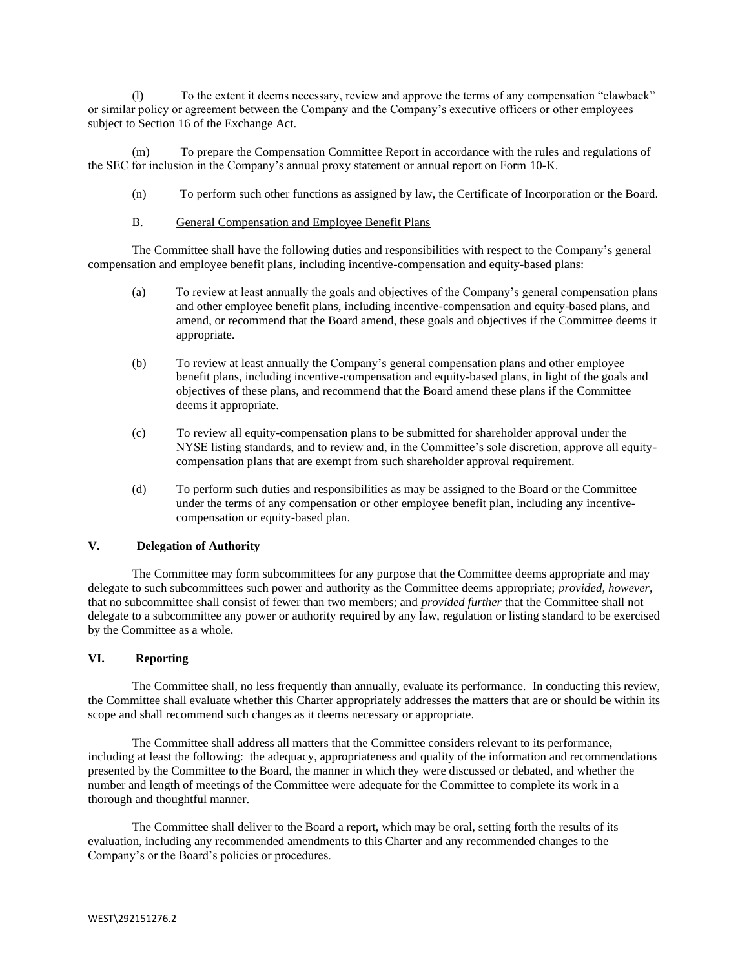(l) To the extent it deems necessary, review and approve the terms of any compensation "clawback" or similar policy or agreement between the Company and the Company's executive officers or other employees subject to Section 16 of the Exchange Act.

(m) To prepare the Compensation Committee Report in accordance with the rules and regulations of the SEC for inclusion in the Company's annual proxy statement or annual report on Form 10-K.

(n) To perform such other functions as assigned by law, the Certificate of Incorporation or the Board.

# B. General Compensation and Employee Benefit Plans

The Committee shall have the following duties and responsibilities with respect to the Company's general compensation and employee benefit plans, including incentive-compensation and equity-based plans:

- (a) To review at least annually the goals and objectives of the Company's general compensation plans and other employee benefit plans, including incentive-compensation and equity-based plans, and amend, or recommend that the Board amend, these goals and objectives if the Committee deems it appropriate.
- (b) To review at least annually the Company's general compensation plans and other employee benefit plans, including incentive-compensation and equity-based plans, in light of the goals and objectives of these plans, and recommend that the Board amend these plans if the Committee deems it appropriate.
- (c) To review all equity-compensation plans to be submitted for shareholder approval under the NYSE listing standards, and to review and, in the Committee's sole discretion, approve all equitycompensation plans that are exempt from such shareholder approval requirement.
- (d) To perform such duties and responsibilities as may be assigned to the Board or the Committee under the terms of any compensation or other employee benefit plan, including any incentivecompensation or equity-based plan.

## **V. Delegation of Authority**

The Committee may form subcommittees for any purpose that the Committee deems appropriate and may delegate to such subcommittees such power and authority as the Committee deems appropriate; *provided*, *however*, that no subcommittee shall consist of fewer than two members; and *provided further* that the Committee shall not delegate to a subcommittee any power or authority required by any law, regulation or listing standard to be exercised by the Committee as a whole.

### **VI. Reporting**

The Committee shall, no less frequently than annually, evaluate its performance. In conducting this review, the Committee shall evaluate whether this Charter appropriately addresses the matters that are or should be within its scope and shall recommend such changes as it deems necessary or appropriate.

The Committee shall address all matters that the Committee considers relevant to its performance, including at least the following: the adequacy, appropriateness and quality of the information and recommendations presented by the Committee to the Board, the manner in which they were discussed or debated, and whether the number and length of meetings of the Committee were adequate for the Committee to complete its work in a thorough and thoughtful manner.

The Committee shall deliver to the Board a report, which may be oral, setting forth the results of its evaluation, including any recommended amendments to this Charter and any recommended changes to the Company's or the Board's policies or procedures.